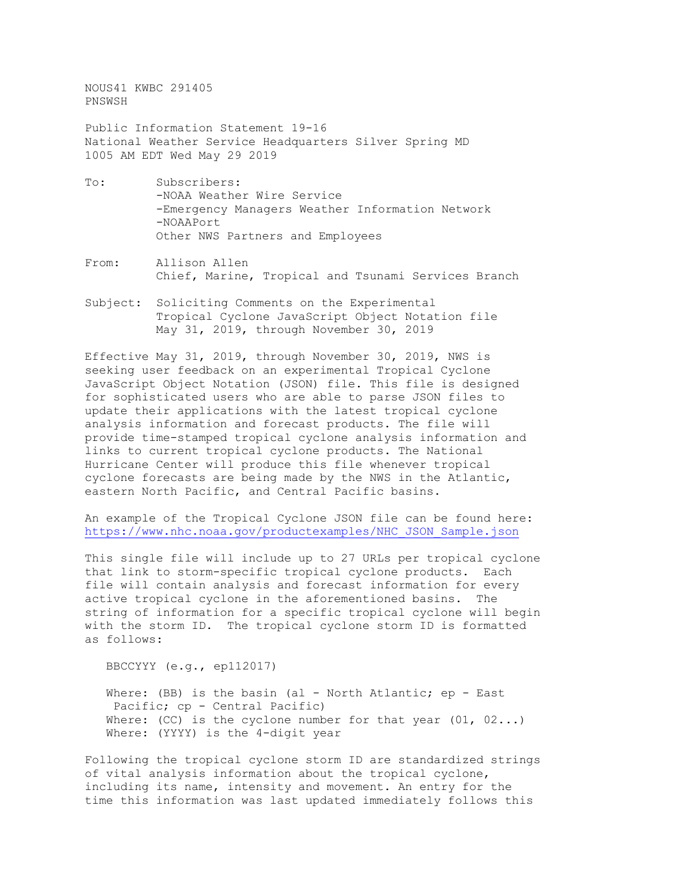NOUS41 KWBC 291405 PNSWSH

Public Information Statement 19-16 National Weather Service Headquarters Silver Spring MD 1005 AM EDT Wed May 29 2019

- To: Subscribers: -NOAA Weather Wire Service -Emergency Managers Weather Information Network -NOAAPort Other NWS Partners and Employees
- From: Allison Allen Chief, Marine, Tropical and Tsunami Services Branch
- Subject: Soliciting Comments on the Experimental Tropical Cyclone JavaScript Object Notation file May 31, 2019, through November 30, 2019

Effective May 31, 2019, through November 30, 2019, NWS is seeking user feedback on an experimental Tropical Cyclone JavaScript Object Notation (JSON) file. This file is designed for sophisticated users who are able to parse JSON files to update their applications with the latest tropical cyclone analysis information and forecast products. The file will provide time-stamped tropical cyclone analysis information and links to current tropical cyclone products. The National Hurricane Center will produce this file whenever tropical cyclone forecasts are being made by the NWS in the Atlantic, eastern North Pacific, and Central Pacific basins.

An example of the Tropical Cyclone JSON file can be found here: [https://www.nhc.noaa.gov/productexamples/NHC\\_JSON\\_Sample.json](https://www.nhc.noaa.gov/productexamples/NHC_JSON_Sample.json)

This single file will include up to 27 URLs per tropical cyclone that link to storm-specific tropical cyclone products. Each file will contain analysis and forecast information for every active tropical cyclone in the aforementioned basins. The string of information for a specific tropical cyclone will begin with the storm ID. The tropical cyclone storm ID is formatted as follows:

BBCCYYY (e.g., ep112017)

Where: (BB) is the basin (al - North Atlantic; ep - East Pacific; cp - Central Pacific) Where: (CC) is the cyclone number for that year  $(01, 02...)$ Where: (YYYY) is the 4-digit year

Following the tropical cyclone storm ID are standardized strings of vital analysis information about the tropical cyclone, including its name, intensity and movement. An entry for the time this information was last updated immediately follows this